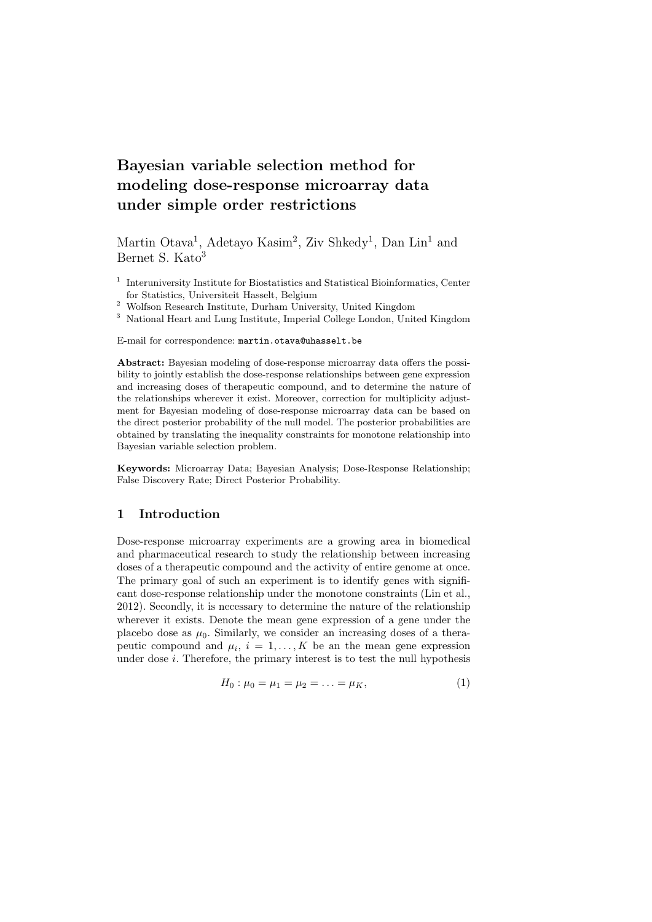# **Bayesian variable selection method for modeling dose-response microarray data under simple order restrictions**

Martin Otava<sup>1</sup>, Adetayo Kasim<sup>2</sup>, Ziv Shkedy<sup>1</sup>, Dan Lin<sup>1</sup> and Bernet S. Kato<sup>3</sup>

- <sup>1</sup> Interuniversity Institute for Biostatistics and Statistical Bioinformatics, Center for Statistics, Universiteit Hasselt, Belgium
- $^{\rm 2}$  Wolfson Research Institute, Durham University, United Kingdom
- <sup>3</sup> National Heart and Lung Institute, Imperial College London, United Kingdom

E-mail for correspondence: martin.otava@uhasselt.be

**Abstract:** Bayesian modeling of dose-response microarray data offers the possibility to jointly establish the dose-response relationships between gene expression and increasing doses of therapeutic compound, and to determine the nature of the relationships wherever it exist. Moreover, correction for multiplicity adjustment for Bayesian modeling of dose-response microarray data can be based on the direct posterior probability of the null model. The posterior probabilities are obtained by translating the inequality constraints for monotone relationship into Bayesian variable selection problem.

**Keywords:** Microarray Data; Bayesian Analysis; Dose-Response Relationship; False Discovery Rate; Direct Posterior Probability.

# **1 Introduction**

Dose-response microarray experiments are a growing area in biomedical and pharmaceutical research to study the relationship between increasing doses of a therapeutic compound and the activity of entire genome at once. The primary goal of such an experiment is to identify genes with significant dose-response relationship under the monotone constraints (Lin et al., 2012). Secondly, it is necessary to determine the nature of the relationship wherever it exists. Denote the mean gene expression of a gene under the placebo dose as  $\mu_0$ . Similarly, we consider an increasing doses of a therapeutic compound and  $\mu_i$ ,  $i = 1, ..., K$  be an the mean gene expression under dose *i*. Therefore, the primary interest is to test the null hypothesis

$$
H_0: \mu_0 = \mu_1 = \mu_2 = \ldots = \mu_K,\tag{1}
$$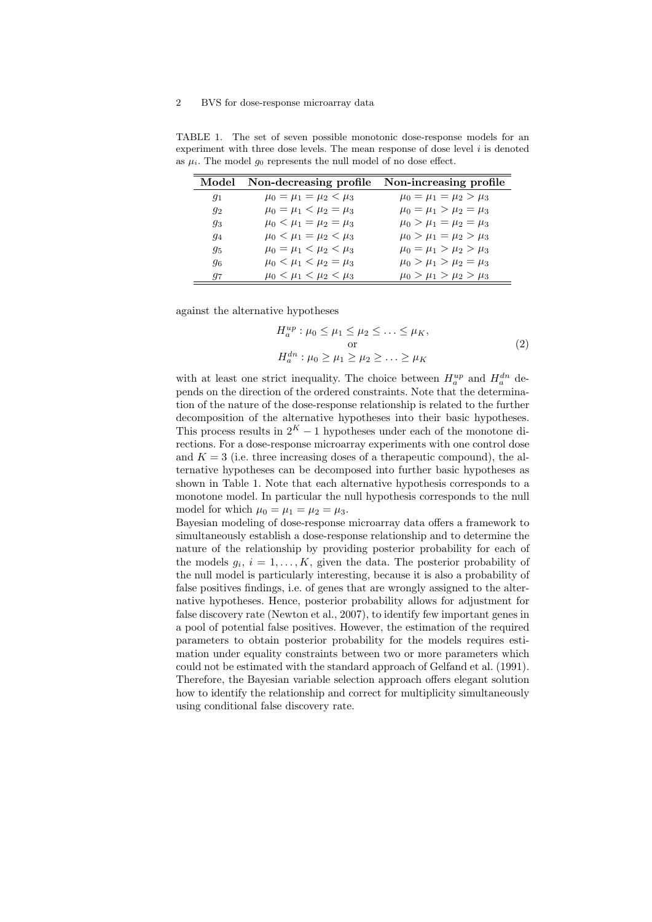## 2 BVS for dose-response microarray data

TABLE 1. The set of seven possible monotonic dose-response models for an experiment with three dose levels. The mean response of dose level *i* is denoted as  $\mu_i$ . The model  $g_0$  represents the null model of no dose effect.

|       | Model Non-decreasing profile Non-increasing profile |                                 |
|-------|-----------------------------------------------------|---------------------------------|
| $g_1$ | $\mu_0 = \mu_1 = \mu_2 < \mu_3$                     | $\mu_0 = \mu_1 = \mu_2 > \mu_3$ |
| $g_2$ | $\mu_0 = \mu_1 < \mu_2 = \mu_3$                     | $\mu_0 = \mu_1 > \mu_2 = \mu_3$ |
| $g_3$ | $\mu_0 < \mu_1 = \mu_2 = \mu_3$                     | $\mu_0 > \mu_1 = \mu_2 = \mu_3$ |
| 94    | $\mu_0 < \mu_1 = \mu_2 < \mu_3$                     | $\mu_0 > \mu_1 = \mu_2 > \mu_3$ |
| 95    | $\mu_0 = \mu_1 < \mu_2 < \mu_3$                     | $\mu_0 = \mu_1 > \mu_2 > \mu_3$ |
| 96    | $\mu_0 < \mu_1 < \mu_2 = \mu_3$                     | $\mu_0 > \mu_1 > \mu_2 = \mu_3$ |
| 97    | $\mu_0 < \mu_1 < \mu_2 < \mu_3$                     | $\mu_0 > \mu_1 > \mu_2 > \mu_3$ |

against the alternative hypotheses

$$
H_a^{up}: \mu_0 \le \mu_1 \le \mu_2 \le \dots \le \mu_K,
$$
  
or  

$$
H_a^{dn}: \mu_0 \ge \mu_1 \ge \mu_2 \ge \dots \ge \mu_K
$$
 (2)

with at least one strict inequality. The choice between  $H_a^{up}$  and  $H_a^{dn}$  depends on the direction of the ordered constraints. Note that the determination of the nature of the dose-response relationship is related to the further decomposition of the alternative hypotheses into their basic hypotheses. This process results in  $2^K - 1$  hypotheses under each of the monotone directions. For a dose-response microarray experiments with one control dose and  $K = 3$  (i.e. three increasing doses of a therapeutic compound), the alternative hypotheses can be decomposed into further basic hypotheses as shown in Table 1. Note that each alternative hypothesis corresponds to a monotone model. In particular the null hypothesis corresponds to the null model for which  $\mu_0 = \mu_1 = \mu_2 = \mu_3$ .

Bayesian modeling of dose-response microarray data offers a framework to simultaneously establish a dose-response relationship and to determine the nature of the relationship by providing posterior probability for each of the models  $g_i$ ,  $i = 1, \ldots, K$ , given the data. The posterior probability of the null model is particularly interesting, because it is also a probability of false positives findings, i.e. of genes that are wrongly assigned to the alternative hypotheses. Hence, posterior probability allows for adjustment for false discovery rate (Newton et al., 2007), to identify few important genes in a pool of potential false positives. However, the estimation of the required parameters to obtain posterior probability for the models requires estimation under equality constraints between two or more parameters which could not be estimated with the standard approach of Gelfand et al. (1991). Therefore, the Bayesian variable selection approach offers elegant solution how to identify the relationship and correct for multiplicity simultaneously using conditional false discovery rate.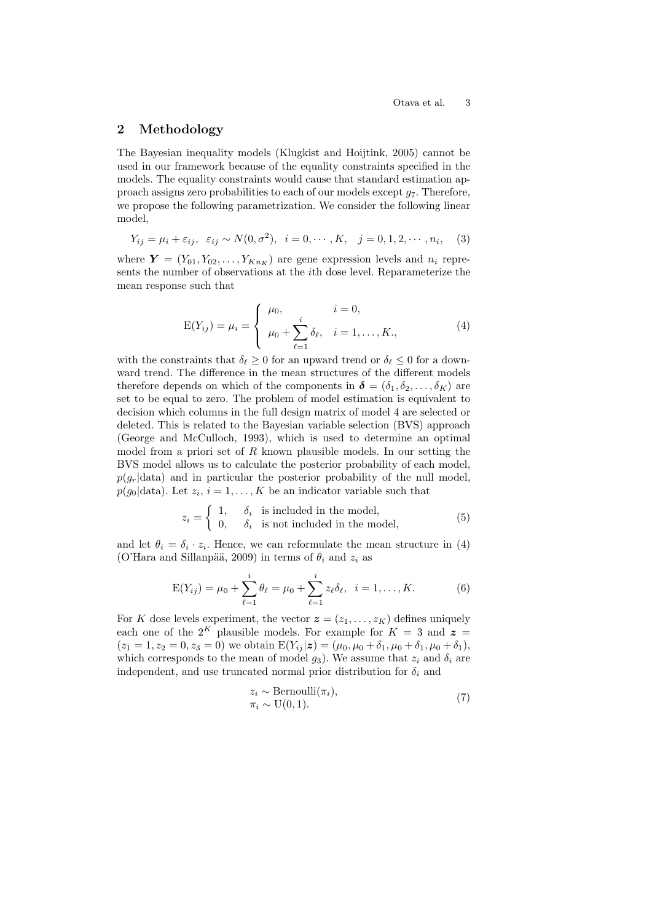# **2 Methodology**

The Bayesian inequality models (Klugkist and Hoijtink, 2005) cannot be used in our framework because of the equality constraints specified in the models. The equality constraints would cause that standard estimation approach assigns zero probabilities to each of our models except *g*7. Therefore, we propose the following parametrization. We consider the following linear model,

$$
Y_{ij} = \mu_i + \varepsilon_{ij}, \quad \varepsilon_{ij} \sim N(0, \sigma^2), \quad i = 0, \cdots, K, \quad j = 0, 1, 2, \cdots, n_i, \quad (3)
$$

where  $Y = (Y_{01}, Y_{02}, \ldots, Y_{Kn_K})$  are gene expression levels and  $n_i$  represents the number of observations at the *i*th dose level. Reparameterize the mean response such that

$$
E(Y_{ij}) = \mu_i = \begin{cases} \mu_0, & i = 0, \\ \mu_0 + \sum_{\ell=1}^i \delta_\ell, & i = 1, \dots, K, \end{cases}
$$
 (4)

with the constraints that  $\delta_{\ell} \geq 0$  for an upward trend or  $\delta_{\ell} \leq 0$  for a downward trend. The difference in the mean structures of the different models therefore depends on which of the components in  $\boldsymbol{\delta} = (\delta_1, \delta_2, \dots, \delta_K)$  are set to be equal to zero. The problem of model estimation is equivalent to decision which columns in the full design matrix of model 4 are selected or deleted. This is related to the Bayesian variable selection (BVS) approach (George and McCulloch, 1993), which is used to determine an optimal model from a priori set of *R* known plausible models. In our setting the BVS model allows us to calculate the posterior probability of each model,  $p(g_r|data)$  and in particular the posterior probability of the null model,  $p(g_0|\text{data})$ . Let  $z_i$ ,  $i=1,\ldots,K$  be an indicator variable such that

$$
z_i = \begin{cases} 1, & \delta_i \text{ is included in the model,} \\ 0, & \delta_i \text{ is not included in the model,} \end{cases}
$$
 (5)

and let  $\theta_i = \delta_i \cdot z_i$ . Hence, we can reformulate the mean structure in (4) (O'Hara and Sillanpää, 2009) in terms of  $\theta_i$  and  $z_i$  as

$$
E(Y_{ij}) = \mu_0 + \sum_{\ell=1}^i \theta_\ell = \mu_0 + \sum_{\ell=1}^i z_\ell \delta_\ell, \ \ i = 1, \dots, K. \tag{6}
$$

For *K* dose levels experiment, the vector  $\boldsymbol{z} = (z_1, \ldots, z_K)$  defines uniquely each one of the  $2^K$  plausible models. For example for  $K = 3$  and  $z =$  $(z_1 = 1, z_2 = 0, z_3 = 0)$  we obtain  $E(Y_{ij} | \mathbf{z}) = (\mu_0, \mu_0 + \delta_1, \mu_0 + \delta_1, \mu_0 + \delta_1)$ , which corresponds to the mean of model  $g_3$ ). We assume that  $z_i$  and  $\delta_i$  are independent, and use truncated normal prior distribution for  $\delta_i$  and

$$
z_i \sim \text{Bernoulli}(\pi_i),
$$
  
\n
$$
\pi_i \sim \text{U}(0, 1).
$$
\n(7)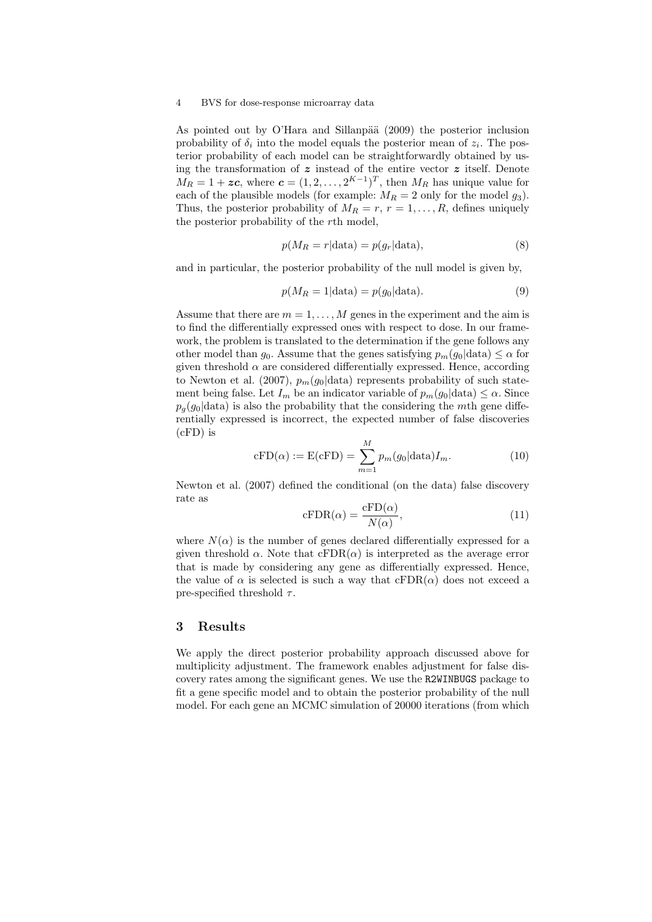#### 4 BVS for dose-response microarray data

As pointed out by O'Hara and Sillanpää  $(2009)$  the posterior inclusion probability of  $\delta_i$  into the model equals the posterior mean of  $z_i$ . The posterior probability of each model can be straightforwardly obtained by using the transformation of *z* instead of the entire vector *z* itself. Denote  $M_R = 1 + \boldsymbol{zc}$ , where  $\boldsymbol{c} = (1, 2, \dots, 2^{K-1})^T$ , then  $M_R$  has unique value for each of the plausible models (for example:  $M_R = 2$  only for the model  $g_3$ ). Thus, the posterior probability of  $M_R = r, r = 1, \ldots, R$ , defines uniquely the posterior probability of the *r*th model,

$$
p(M_R = r | \text{data}) = p(g_r | \text{data}), \tag{8}
$$

and in particular, the posterior probability of the null model is given by,

$$
p(M_R = 1 | \text{data}) = p(g_0 | \text{data}). \tag{9}
$$

Assume that there are  $m = 1, \ldots, M$  genes in the experiment and the aim is to find the differentially expressed ones with respect to dose. In our framework, the problem is translated to the determination if the gene follows any other model than  $q_0$ . Assume that the genes satisfying  $p_m(q_0|\text{data}) \leq \alpha$  for given threshold  $\alpha$  are considered differentially expressed. Hence, according to Newton et al. (2007),  $p_m(g_0|\text{data})$  represents probability of such statement being false. Let  $I_m$  be an indicator variable of  $p_m(g_0|\text{data}) \leq \alpha$ . Since  $p_q(g_0|\text{data})$  is also the probability that the considering the *m*th gene differentially expressed is incorrect, the expected number of false discoveries (cFD) is

$$
cFD(\alpha) := E(cFD) = \sum_{m=1}^{M} p_m(g_0 | \text{data}) I_m.
$$
 (10)

Newton et al. (2007) defined the conditional (on the data) false discovery rate as

$$
cFDR(\alpha) = \frac{cFD(\alpha)}{N(\alpha)},
$$
\n(11)

where  $N(\alpha)$  is the number of genes declared differentially expressed for a given threshold  $\alpha$ . Note that  $cFDR(\alpha)$  is interpreted as the average error that is made by considering any gene as differentially expressed. Hence, the value of  $\alpha$  is selected is such a way that  $cFDR(\alpha)$  does not exceed a pre-specified threshold *τ* .

### **3 Results**

We apply the direct posterior probability approach discussed above for multiplicity adjustment. The framework enables adjustment for false discovery rates among the significant genes. We use the R2WINBUGS package to fit a gene specific model and to obtain the posterior probability of the null model. For each gene an MCMC simulation of 20000 iterations (from which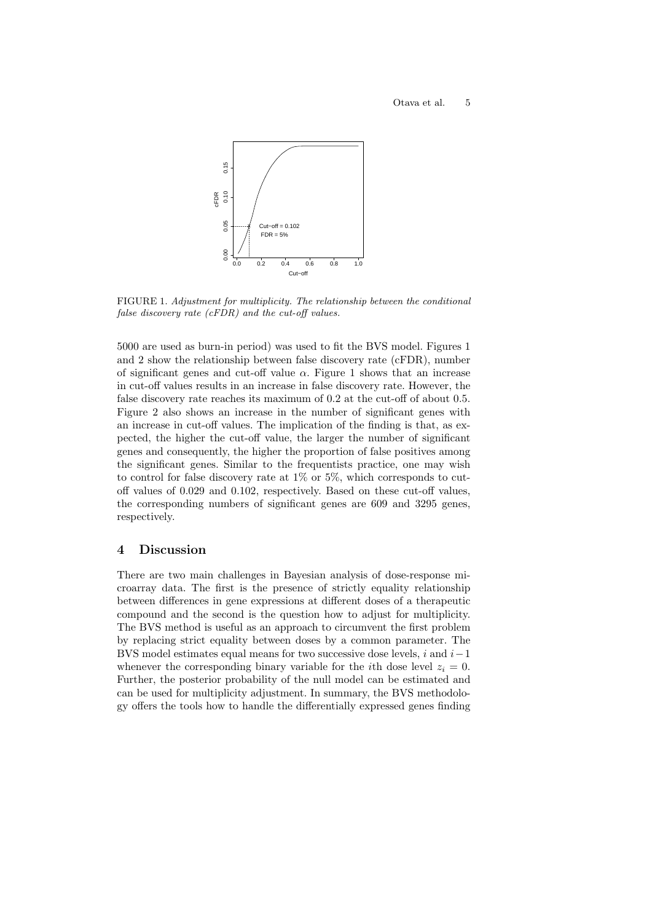

FIGURE 1. *Adjustment for multiplicity. The relationship between the conditional false discovery rate (cFDR) and the cut-off values.*

5000 are used as burn-in period) was used to fit the BVS model. Figures 1 and 2 show the relationship between false discovery rate (cFDR), number of significant genes and cut-off value  $\alpha$ . Figure 1 shows that an increase in cut-off values results in an increase in false discovery rate. However, the false discovery rate reaches its maximum of 0.2 at the cut-off of about 0.5. Figure 2 also shows an increase in the number of significant genes with an increase in cut-off values. The implication of the finding is that, as expected, the higher the cut-off value, the larger the number of significant genes and consequently, the higher the proportion of false positives among the significant genes. Similar to the frequentists practice, one may wish to control for false discovery rate at  $1\%$  or  $5\%$ , which corresponds to cutoff values of 0*.*029 and 0*.*102, respectively. Based on these cut-off values, the corresponding numbers of significant genes are 609 and 3295 genes, respectively.

## **4 Discussion**

There are two main challenges in Bayesian analysis of dose-response microarray data. The first is the presence of strictly equality relationship between differences in gene expressions at different doses of a therapeutic compound and the second is the question how to adjust for multiplicity. The BVS method is useful as an approach to circumvent the first problem by replacing strict equality between doses by a common parameter. The BVS model estimates equal means for two successive dose levels, *i* and *i−*1 whenever the corresponding binary variable for the *i*th dose level  $z_i = 0$ . Further, the posterior probability of the null model can be estimated and can be used for multiplicity adjustment. In summary, the BVS methodology offers the tools how to handle the differentially expressed genes finding